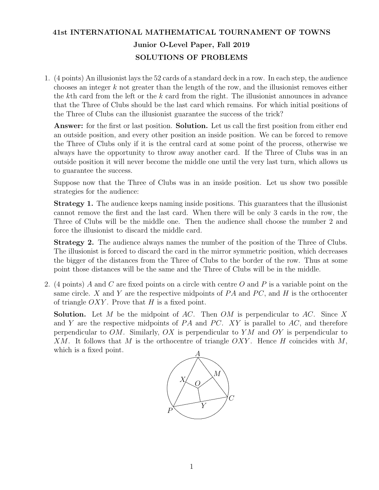## 41st INTERNATIONAL MATHEMATICAL TOURNAMENT OF TOWNS Junior O-Level Paper, Fall 2019 SOLUTIONS OF PROBLEMS

1. (4 points) An illusionist lays the 52 cards of a standard deck in a row. In each step, the audience chooses an integer k not greater than the length of the row, and the illusionist removes either the kth card from the left or the  $k$  card from the right. The illusionist announces in advance that the Three of Clubs should be the last card which remains. For which initial positions of the Three of Clubs can the illusionist guarantee the success of the trick?

Answer: for the first or last position. Solution. Let us call the first position from either end an outside position, and every other position an inside position. We can be forced to remove the Three of Clubs only if it is the central card at some point of the process, otherwise we always have the opportunity to throw away another card. If the Three of Clubs was in an outside position it will never become the middle one until the very last turn, which allows us to guarantee the success.

Suppose now that the Three of Clubs was in an inside position. Let us show two possible strategies for the audience:

Strategy 1. The audience keeps naming inside positions. This guarantees that the illusionist cannot remove the first and the last card. When there will be only 3 cards in the row, the Three of Clubs will be the middle one. Then the audience shall choose the number 2 and force the illusionist to discard the middle card.

Strategy 2. The audience always names the number of the position of the Three of Clubs. The illusionist is forced to discard the card in the mirror symmetric position, which decreases the bigger of the distances from the Three of Clubs to the border of the row. Thus at some point those distances will be the same and the Three of Clubs will be in the middle.

2. (4 points) A and C are fixed points on a circle with centre O and P is a variable point on the same circle. X and Y are the respective midpoints of  $PA$  and  $PC$ , and H is the orthocenter of triangle  $OXY$ . Prove that H is a fixed point.

**Solution.** Let M be the midpoint of AC. Then OM is perpendicular to AC. Since X and Y are the respective midpoints of  $PA$  and  $PC$ . XY is parallel to  $AC$ , and therefore perpendicular to  $OM$ . Similarly,  $OX$  is perpendicular to YM and OY is perpendicular to  $XM.$  It follows that M is the orthocentre of triangle  $OXY.$  Hence H coincides with M, which is a fixed point.

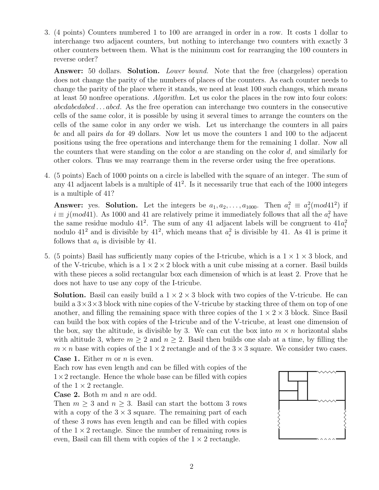3. (4 points) Counters numbered 1 to 100 are arranged in order in a row. It costs 1 dollar to interchange two adjacent counters, but nothing to interchange two counters with exactly 3 other counters between them. What is the minimum cost for rearranging the 100 counters in reverse order?

Answer: 50 dollars. Solution. *Lower bound*. Note that the free (chargeless) operation does not change the parity of the numbers of places of the counters. As each counter needs to change the parity of the place where it stands, we need at least 100 such changes, which means at least 50 nonfree operations. Algorithm. Let us color the places in the row into four colors: abcdabcdabcd . . . abcd. As the free operation can interchange two counters in the consecutive cells of the same color, it is possible by using it several times to arrange the counters on the cells of the same color in any order we wish. Let us interchange the counters in all pairs bc and all pairs da for 49 dollars. Now let us move the counters 1 and 100 to the adjacent positions using the free operations and interchange them for the remaining 1 dollar. Now all the counters that were standing on the color  $a$  are standing on the color  $d$ , and similarly for other colors. Thus we may rearrange them in the reverse order using the free operations.

4. (5 points) Each of 1000 points on a circle is labelled with the square of an integer. The sum of any 41 adjacent labels is a multiple of  $41^2$ . Is it necessarily true that each of the 1000 integers is a multiple of 41?

**Answer:** yes. **Solution.** Let the integers be  $a_1, a_2, \ldots, a_{1000}$ . Then  $a_i^2 \equiv a_j^2 \pmod{41^2}$  if  $i \equiv j (mod 41)$ . As 1000 and 41 are relatively prime it immediately follows that all the  $a_i^2$  have the same residue modulo 41<sup>2</sup>. The sum of any 41 adjacent labels will be congruent to  $41a_i^2$ nodulo 41<sup>2</sup> and is divisible by 41<sup>2</sup>, which means that  $a_i^2$  is divisible by 41. As 41 is prime it follows that  $a_i$  is divisible by 41.

5. (5 points) Basil has sufficiently many copies of the I-tricube, which is a  $1 \times 1 \times 3$  block, and of the V-tricube, which is a  $1 \times 2 \times 2$  block with a unit cube missing at a corner. Basil builds with these pieces a solid rectangular box each dimension of which is at least 2. Prove that he does not have to use any copy of the I-tricube.

**Solution.** Basil can easily build a  $1 \times 2 \times 3$  block with two copies of the V-tricube. He can build a  $3\times3\times3$  block with nine copies of the V-tricube by stacking three of them on top of one another, and filling the remaining space with three copies of the  $1 \times 2 \times 3$  block. Since Basil can build the box with copies of the I-tricube and of the V-tricube, at least one dimension of the box, say the altitude, is divisible by 3. We can cut the box into  $m \times n$  horizontal slabs with altitude 3, where  $m \geq 2$  and  $n \geq 2$ . Basil then builds one slab at a time, by filling the  $m \times n$  base with copies of the  $1 \times 2$  rectangle and of the  $3 \times 3$  square. We consider two cases. **Case 1.** Either  $m$  or  $n$  is even.

Each row has even length and can be filled with copies of the  $1\times 2$  rectangle. Hence the whole base can be filled with copies of the  $1 \times 2$  rectangle.

**Case 2.** Both  $m$  and  $n$  are odd.

Then  $m \geq 3$  and  $n \geq 3$ . Basil can start the bottom 3 rows with a copy of the  $3 \times 3$  square. The remaining part of each of these 3 rows has even length and can be filled with copies of the  $1 \times 2$  rectangle. Since the number of remaining rows is even, Basil can fill them with copies of the  $1 \times 2$  rectangle.

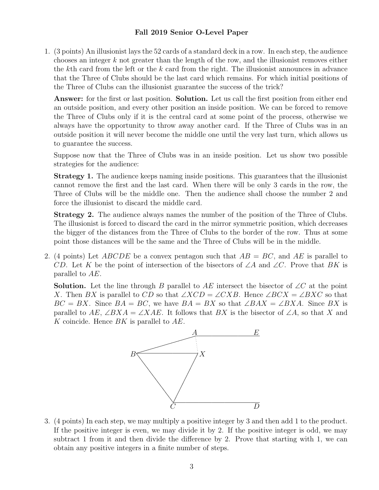## Fall 2019 Senior O-Level Paper

1. (3 points) An illusionist lays the 52 cards of a standard deck in a row. In each step, the audience chooses an integer k not greater than the length of the row, and the illusionist removes either the kth card from the left or the k card from the right. The illusionist announces in advance that the Three of Clubs should be the last card which remains. For which initial positions of the Three of Clubs can the illusionist guarantee the success of the trick?

Answer: for the first or last position. Solution. Let us call the first position from either end an outside position, and every other position an inside position. We can be forced to remove the Three of Clubs only if it is the central card at some point of the process, otherwise we always have the opportunity to throw away another card. If the Three of Clubs was in an outside position it will never become the middle one until the very last turn, which allows us to guarantee the success.

Suppose now that the Three of Clubs was in an inside position. Let us show two possible strategies for the audience:

Strategy 1. The audience keeps naming inside positions. This guarantees that the illusionist cannot remove the first and the last card. When there will be only 3 cards in the row, the Three of Clubs will be the middle one. Then the audience shall choose the number 2 and force the illusionist to discard the middle card.

Strategy 2. The audience always names the number of the position of the Three of Clubs. The illusionist is forced to discard the card in the mirror symmetric position, which decreases the bigger of the distances from the Three of Clubs to the border of the row. Thus at some point those distances will be the same and the Three of Clubs will be in the middle.

2. (4 points) Let ABCDE be a convex pentagon such that  $AB = BC$ , and AE is parallel to CD. Let K be the point of intersection of the bisectors of  $\angle A$  and  $\angle C$ . Prove that BK is parallel to AE.

**Solution.** Let the line through B parallel to AE intersect the bisector of  $\angle C$  at the point X. Then BX is parallel to CD so that  $\angle XCD = \angle CXB$ . Hence  $\angle BCX = \angle BXC$  so that  $BC = BX$ . Since  $BA = BC$ , we have  $BA = BX$  so that  $\angle BAX = \angle BXA$ . Since BX is parallel to  $AE$ ,  $\angle BXA = \angle XAE$ . It follows that BX is the bisector of  $\angle A$ , so that X and K coincide. Hence  $BK$  is parallel to  $AE$ .



3. (4 points) In each step, we may multiply a positive integer by 3 and then add 1 to the product. If the positive integer is even, we may divide it by 2. If the positive integer is odd, we may subtract 1 from it and then divide the difference by 2. Prove that starting with 1, we can obtain any positive integers in a finite number of steps.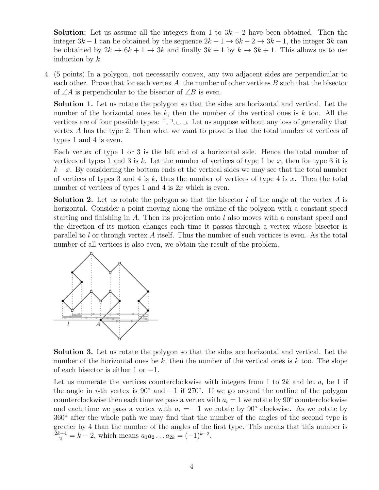**Solution:** Let us assume all the integers from 1 to  $3k - 2$  have been obtained. Then the integer  $3k - 1$  can be obtained by the sequence  $2k - 1 \rightarrow 6k - 2 \rightarrow 3k - 1$ , the integer 3k can be obtained by  $2k \to 6k+1 \to 3k$  and finally  $3k+1$  by  $k \to 3k+1$ . This allows us to use induction by k.

4. (5 points) In a polygon, not necessarily convex, any two adjacent sides are perpendicular to each other. Prove that for each vertex  $A$ , the number of other vertices  $B$  such that the bisector of ∠A is perpendicular to the bisector of ∠B is even.

Solution 1. Let us rotate the polygon so that the sides are horizontal and vertical. Let the number of the horizontal ones be  $k$ , then the number of the vertical ones is  $k$  too. All the vertices are of four possible types:  $\ulcorner, \urcorner, \llcorner, \perp$ . Let us suppose without any loss of generality that vertex A has the type 2. Then what we want to prove is that the total number of vertices of types 1 and 4 is even.

Each vertex of type 1 or 3 is the left end of a horizontal side. Hence the total number of vertices of types 1 and 3 is k. Let the number of vertices of type 1 be x, then for type 3 it is  $k - x$ . By considering the bottom ends ot the vertical sides we may see that the total number of vertices of types 3 and 4 is k, thus the number of vertices of type 4 is x. Then the total number of vertices of types 1 and 4 is  $2x$  which is even.

**Solution 2.** Let us rotate the polygon so that the bisector l of the angle at the vertex A is horizontal. Consider a point moving along the outline of the polygon with a constant speed starting and finishing in A. Then its projection onto l also moves with a constant speed and the direction of its motion changes each time it passes through a vertex whose bisector is parallel to  $l$  or through vertex  $A$  itself. Thus the number of such vertices is even. As the total number of all vertices is also even, we obtain the result of the problem.



Solution 3. Let us rotate the polygon so that the sides are horizontal and vertical. Let the number of the horizontal ones be k, then the number of the vertical ones is k too. The slope of each bisector is either 1 or −1.

Let us numerate the vertices counterclockwise with integers from 1 to 2k and let  $a_i$  be 1 if the angle in *i*-th vertex is 90° and  $-1$  if 270°. If we go around the outline of the polygon counterclockwise then each time we pass a vertex with  $a_i = 1$  we rotate by 90° counterclockwise and each time we pass a vertex with  $a_i = -1$  we rotate by 90° clockwise. As we rotate by 360◦ after the whole path we may find that the number of the angles of the second type is greater by 4 than the number of the angles of the first type. This means that this number is  $\frac{2k-4}{2} = k - 2$ , which means  $a_1 a_2 \dots a_{2k} = (-1)^{k-2}$ .